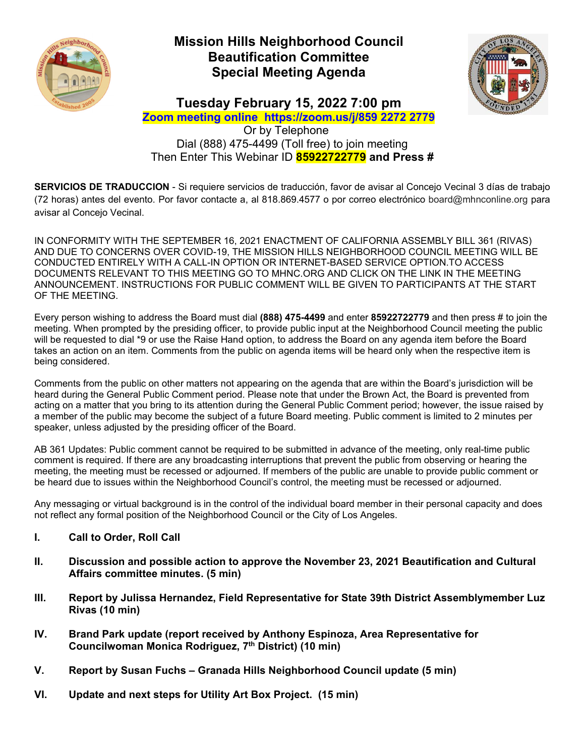

# **Mission Hills Neighborhood Council Beautification Committee Special Meeting Agenda**



**Tuesday February 15, 2022 7:00 pm** 

**Zoom meeting online https://zoom.us/j/859 2272 2779**  Or by Telephone Dial (888) 475-4499 (Toll free) to join meeting Then Enter This Webinar ID **85922722779 and Press #** 

**SERVICIOS DE TRADUCCION** - Si requiere servicios de traducción, favor de avisar al Concejo Vecinal 3 días de trabajo (72 horas) antes del evento. Por favor contacte a, al 818.869.4577 o por correo electrónico board@mhnconline.org para avisar al Concejo Vecinal.

IN CONFORMITY WITH THE SEPTEMBER 16, 2021 ENACTMENT OF CALIFORNIA ASSEMBLY BILL 361 (RIVAS) AND DUE TO CONCERNS OVER COVID-19, THE MISSION HILLS NEIGHBORHOOD COUNCIL MEETING WILL BE CONDUCTED ENTIRELY WITH A CALL-IN OPTION OR INTERNET-BASED SERVICE OPTION.TO ACCESS DOCUMENTS RELEVANT TO THIS MEETING GO TO MHNC.ORG AND CLICK ON THE LINK IN THE MEETING ANNOUNCEMENT. INSTRUCTIONS FOR PUBLIC COMMENT WILL BE GIVEN TO PARTICIPANTS AT THE START OF THE MEETING.

Every person wishing to address the Board must dial **(888) 475-4499** and enter **85922722779** and then press # to join the meeting. When prompted by the presiding officer, to provide public input at the Neighborhood Council meeting the public will be requested to dial \*9 or use the Raise Hand option, to address the Board on any agenda item before the Board takes an action on an item. Comments from the public on agenda items will be heard only when the respective item is being considered.

Comments from the public on other matters not appearing on the agenda that are within the Board's jurisdiction will be heard during the General Public Comment period. Please note that under the Brown Act, the Board is prevented from acting on a matter that you bring to its attention during the General Public Comment period; however, the issue raised by a member of the public may become the subject of a future Board meeting. Public comment is limited to 2 minutes per speaker, unless adjusted by the presiding officer of the Board.

AB 361 Updates: Public comment cannot be required to be submitted in advance of the meeting, only real-time public comment is required. If there are any broadcasting interruptions that prevent the public from observing or hearing the meeting, the meeting must be recessed or adjourned. If members of the public are unable to provide public comment or be heard due to issues within the Neighborhood Council's control, the meeting must be recessed or adjourned.

Any messaging or virtual background is in the control of the individual board member in their personal capacity and does not reflect any formal position of the Neighborhood Council or the City of Los Angeles.

- **I. Call to Order, Roll Call**
- **II. Discussion and possible action to approve the November 23, 2021 Beautification and Cultural Affairs committee minutes. (5 min)**
- **III. Report by Julissa Hernandez, Field Representative for State 39th District Assemblymember Luz Rivas (10 min)**
- **IV. Brand Park update (report received by Anthony Espinoza, Area Representative for**  Councilwoman Monica Rodriguez, 7<sup>th</sup> District) (10 min)
- **V. Report by Susan Fuchs Granada Hills Neighborhood Council update (5 min)**
- **VI. Update and next steps for Utility Art Box Project. (15 min)**